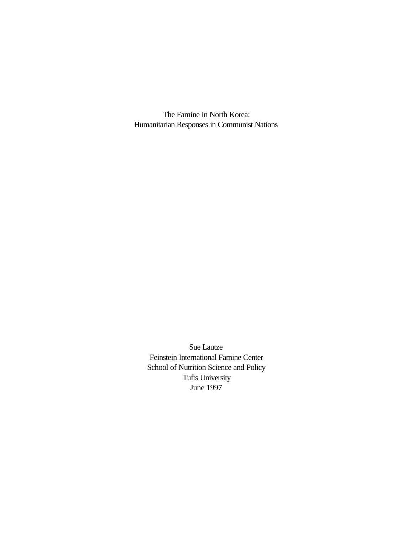The Famine in North Korea: Humanitarian Responses in Communist Nations

Sue Lautze Feinstein International Famine Center School of Nutrition Science and Policy Tufts University June 1997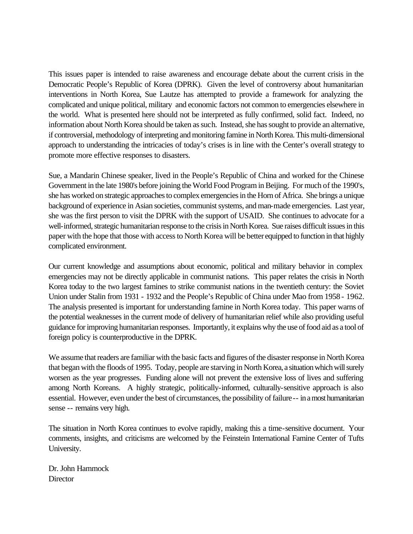This issues paper is intended to raise awareness and encourage debate about the current crisis in the Democratic People's Republic of Korea (DPRK). Given the level of controversy about humanitarian interventions in North Korea, Sue Lautze has attempted to provide a framework for analyzing the complicated and unique political, military and economic factors not common to emergencies elsewhere in the world. What is presented here should not be interpreted as fully confirmed, solid fact. Indeed, no information about North Korea should be taken as such. Instead, she has sought to provide an alternative, if controversial, methodology of interpreting and monitoring famine in North Korea. This multi-dimensional approach to understanding the intricacies of today's crises is in line with the Center's overall strategy to promote more effective responses to disasters.

Sue, a Mandarin Chinese speaker, lived in the People's Republic of China and worked for the Chinese Government in the late 1980's before joining the World Food Program in Beijing. For much of the 1990's, she has worked on strategic approaches to complex emergencies in the Horn of Africa. She brings a unique background of experience in Asian societies, communist systems, and man-made emergencies. Last year, she was the first person to visit the DPRK with the support of USAID. She continues to advocate for a well-informed, strategic humanitarian response to the crisis in North Korea. Sue raises difficult issues in this paper with the hope that those with access to North Korea will be better equipped to function in that highly complicated environment.

Our current knowledge and assumptions about economic, political and military behavior in complex emergencies may not be directly applicable in communist nations. This paper relates the crisis in North Korea today to the two largest famines to strike communist nations in the twentieth century: the Soviet Union under Stalin from 1931 - 1932 and the People's Republic of China under Mao from 1958 - 1962. The analysis presented is important for understanding famine in North Korea today. This paper warns of the potential weaknesses in the current mode of delivery of humanitarian relief while also providing useful guidance for improving humanitarian responses. Importantly, it explains why the use of food aid as a tool of foreign policy is counterproductive in the DPRK.

We assume that readers are familiar with the basic facts and figures of the disaster response in North Korea that began with the floods of 1995. Today, people are starving in North Korea, a situation which will surely worsen as the year progresses. Funding alone will not prevent the extensive loss of lives and suffering among North Koreans. A highly strategic, politically-informed, culturally-sensitive approach is also essential. However, even under the best of circumstances, the possibility of failure -- in a most humanitarian sense -- remains very high.

The situation in North Korea continues to evolve rapidly, making this a time-sensitive document. Your comments, insights, and criticisms are welcomed by the Feinstein International Famine Center of Tufts University.

Dr. John Hammock **Director**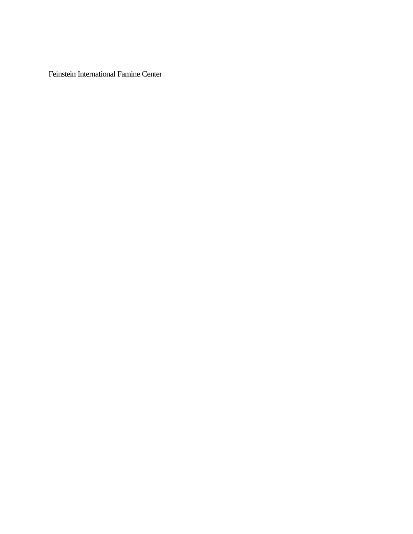Feinstein International Famine Center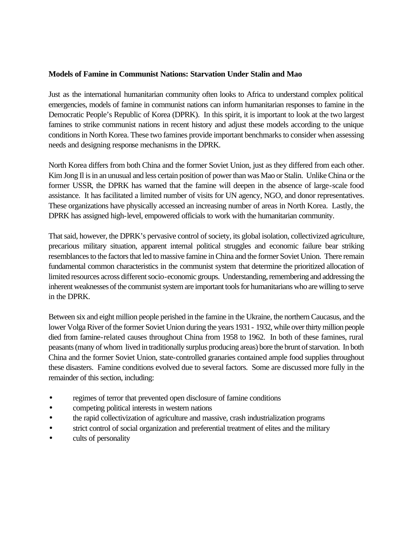### **Models of Famine in Communist Nations: Starvation Under Stalin and Mao**

Just as the international humanitarian community often looks to Africa to understand complex political emergencies, models of famine in communist nations can inform humanitarian responses to famine in the Democratic People's Republic of Korea (DPRK). In this spirit, it is important to look at the two largest famines to strike communist nations in recent history and adjust these models according to the unique conditions in North Korea. These two famines provide important benchmarks to consider when assessing needs and designing response mechanisms in the DPRK.

North Korea differs from both China and the former Soviet Union, just as they differed from each other. Kim Jong Il is in an unusual and less certain position of power than was Mao or Stalin. Unlike China or the former USSR, the DPRK has warned that the famine will deepen in the absence of large-scale food assistance. It has facilitated a limited number of visits for UN agency, NGO, and donor representatives. These organizations have physically accessed an increasing number of areas in North Korea. Lastly, the DPRK has assigned high-level, empowered officials to work with the humanitarian community.

That said, however, the DPRK's pervasive control of society, its global isolation, collectivized agriculture, precarious military situation, apparent internal political struggles and economic failure bear striking resemblances to the factors that led to massive famine in China and the former Soviet Union. There remain fundamental common characteristics in the communist system that determine the prioritized allocation of limited resources across different socio-economic groups. Understanding, remembering and addressing the inherent weaknesses of the communist system are important tools for humanitarians who are willing to serve in the DPRK.

Between six and eight million people perished in the famine in the Ukraine, the northern Caucasus, and the lower Volga River of the former Soviet Union during the years 1931 - 1932, while over thirty million people died from famine-related causes throughout China from 1958 to 1962. In both of these famines, rural peasants (many of whom lived in traditionally surplus producing areas) bore the brunt of starvation. In both China and the former Soviet Union, state-controlled granaries contained ample food supplies throughout these disasters. Famine conditions evolved due to several factors. Some are discussed more fully in the remainder of this section, including:

- regimes of terror that prevented open disclosure of famine conditions
- competing political interests in western nations
- the rapid collectivization of agriculture and massive, crash industrialization programs
- strict control of social organization and preferential treatment of elites and the military
- cults of personality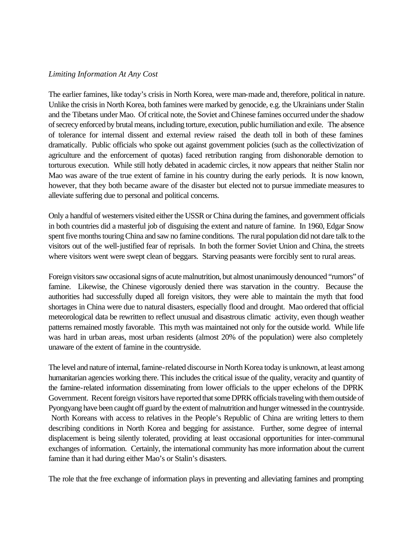#### *Limiting Information At Any Cost*

The earlier famines, like today's crisis in North Korea, were man-made and, therefore, political in nature. Unlike the crisis in North Korea, both famines were marked by genocide, e.g. the Ukrainians under Stalin and the Tibetans under Mao. Of critical note, the Soviet and Chinese famines occurred under the shadow of secrecy enforced by brutal means, including torture, execution, public humiliation and exile. The absence of tolerance for internal dissent and external review raised the death toll in both of these famines dramatically. Public officials who spoke out against government policies (such as the collectivization of agriculture and the enforcement of quotas) faced retribution ranging from dishonorable demotion to torturous execution. While still hotly debated in academic circles, it now appears that neither Stalin nor Mao was aware of the true extent of famine in his country during the early periods. It is now known, however, that they both became aware of the disaster but elected not to pursue immediate measures to alleviate suffering due to personal and political concerns.

Only a handful of westerners visited either the USSR or China during the famines, and government officials in both countries did a masterful job of disguising the extent and nature of famine. In 1960, Edgar Snow spent five months touring China and saw no famine conditions. The rural population did not dare talk to the visitors out of the well-justified fear of reprisals. In both the former Soviet Union and China, the streets where visitors went were swept clean of beggars. Starving peasants were forcibly sent to rural areas.

Foreign visitors saw occasional signs of acute malnutrition, but almost unanimously denounced "rumors" of famine. Likewise, the Chinese vigorously denied there was starvation in the country. Because the authorities had successfully duped all foreign visitors, they were able to maintain the myth that food shortages in China were due to natural disasters, especially flood and drought. Mao ordered that official meteorological data be rewritten to reflect unusual and disastrous climatic activity, even though weather patterns remained mostly favorable. This myth was maintained not only for the outside world. While life was hard in urban areas, most urban residents (almost 20% of the population) were also completely unaware of the extent of famine in the countryside.

The level and nature of internal, famine-related discourse in North Korea today is unknown, at least among humanitarian agencies working there. This includes the critical issue of the quality, veracity and quantity of the famine-related information disseminating from lower officials to the upper echelons of the DPRK Government. Recent foreign visitors have reported that some DPRK officials traveling with them outside of Pyongyang have been caught off guard by the extent of malnutrition and hunger witnessed in the countryside. North Koreans with access to relatives in the People's Republic of China are writing letters to them describing conditions in North Korea and begging for assistance. Further, some degree of internal displacement is being silently tolerated, providing at least occasional opportunities for inter-communal exchanges of information. Certainly, the international community has more information about the current famine than it had during either Mao's or Stalin's disasters.

The role that the free exchange of information plays in preventing and alleviating famines and prompting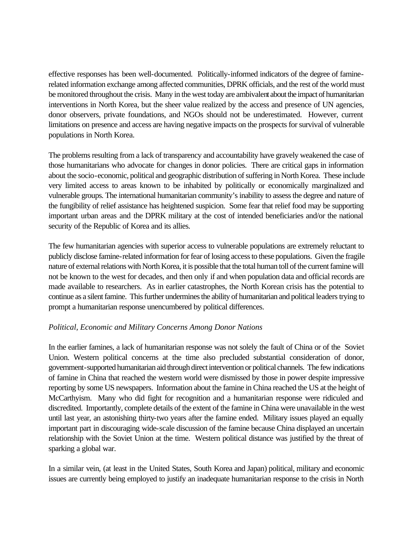effective responses has been well-documented. Politically-informed indicators of the degree of faminerelated information exchange among affected communities, DPRK officials, and the rest of the world must be monitored throughout the crisis. Many in the west today are ambivalent about the impact of humanitarian interventions in North Korea, but the sheer value realized by the access and presence of UN agencies, donor observers, private foundations, and NGOs should not be underestimated. However, current limitations on presence and access are having negative impacts on the prospects for survival of vulnerable populations in North Korea.

The problems resulting from a lack of transparency and accountability have gravely weakened the case of those humanitarians who advocate for changes in donor policies. There are critical gaps in information about the socio-economic, political and geographic distribution of suffering in North Korea. These include very limited access to areas known to be inhabited by politically or economically marginalized and vulnerable groups. The international humanitarian community's inability to assess the degree and nature of the fungibility of relief assistance has heightened suspicion. Some fear that relief food may be supporting important urban areas and the DPRK military at the cost of intended beneficiaries and/or the national security of the Republic of Korea and its allies.

The few humanitarian agencies with superior access to vulnerable populations are extremely reluctant to publicly disclose famine-related information for fear of losing access to these populations. Given the fragile nature of external relations with North Korea, it is possible that the total human toll of the current famine will not be known to the west for decades, and then only if and when population data and official records are made available to researchers. As in earlier catastrophes, the North Korean crisis has the potential to continue as a silent famine. This further undermines the ability of humanitarian and political leaders trying to prompt a humanitarian response unencumbered by political differences.

### *Political, Economic and Military Concerns Among Donor Nations*

In the earlier famines, a lack of humanitarian response was not solely the fault of China or of the Soviet Union. Western political concerns at the time also precluded substantial consideration of donor, government-supported humanitarian aid through direct intervention or political channels. The few indications of famine in China that reached the western world were dismissed by those in power despite impressive reporting by some US newspapers. Information about the famine in China reached the US at the height of McCarthyism. Many who did fight for recognition and a humanitarian response were ridiculed and discredited. Importantly, complete details of the extent of the famine in China were unavailable in the west until last year, an astonishing thirty-two years after the famine ended. Military issues played an equally important part in discouraging wide-scale discussion of the famine because China displayed an uncertain relationship with the Soviet Union at the time. Western political distance was justified by the threat of sparking a global war.

In a similar vein, (at least in the United States, South Korea and Japan) political, military and economic issues are currently being employed to justify an inadequate humanitarian response to the crisis in North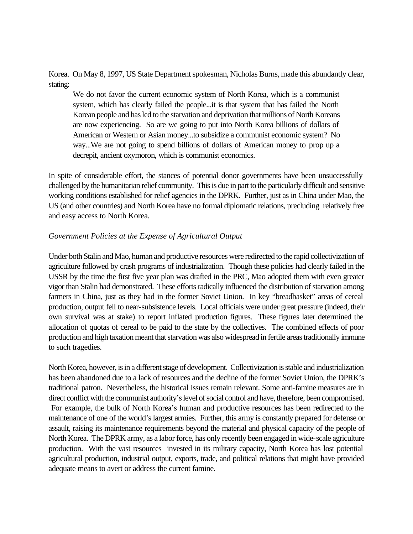Korea. On May 8, 1997, US State Department spokesman, Nicholas Burns, made this abundantly clear, stating:

We do not favor the current economic system of North Korea, which is a communist system, which has clearly failed the people...it is that system that has failed the North Korean people and has led to the starvation and deprivation that millions of North Koreans are now experiencing. So are we going to put into North Korea billions of dollars of American or Western or Asian money...to subsidize a communist economic system? No way...We are not going to spend billions of dollars of American money to prop up a decrepit, ancient oxymoron, which is communist economics.

In spite of considerable effort, the stances of potential donor governments have been unsuccessfully challenged by the humanitarian relief community. This is due in part to the particularly difficult and sensitive working conditions established for relief agencies in the DPRK. Further, just as in China under Mao, the US (and other countries) and North Korea have no formal diplomatic relations, precluding relatively free and easy access to North Korea.

## *Government Policies at the Expense of Agricultural Output*

Under both Stalin and Mao, human and productive resources were redirected to the rapid collectivization of agriculture followed by crash programs of industrialization. Though these policies had clearly failed in the USSR by the time the first five year plan was drafted in the PRC, Mao adopted them with even greater vigor than Stalin had demonstrated. These efforts radically influenced the distribution of starvation among farmers in China, just as they had in the former Soviet Union. In key "breadbasket" areas of cereal production, output fell to near-subsistence levels. Local officials were under great pressure (indeed, their own survival was at stake) to report inflated production figures. These figures later determined the allocation of quotas of cereal to be paid to the state by the collectives. The combined effects of poor production and high taxation meant that starvation was also widespread in fertile areas traditionally immune to such tragedies.

North Korea, however, is in a different stage of development. Collectivization is stable and industrialization has been abandoned due to a lack of resources and the decline of the former Soviet Union, the DPRK's traditional patron. Nevertheless, the historical issues remain relevant. Some anti-famine measures are in direct conflict with the communist authority's level of social control and have, therefore, been compromised. For example, the bulk of North Korea's human and productive resources has been redirected to the maintenance of one of the world's largest armies. Further, this army is constantly prepared for defense or assault, raising its maintenance requirements beyond the material and physical capacity of the people of North Korea. The DPRK army, as a labor force, has only recently been engaged in wide-scale agriculture production. With the vast resources invested in its military capacity, North Korea has lost potential agricultural production, industrial output, exports, trade, and political relations that might have provided adequate means to avert or address the current famine.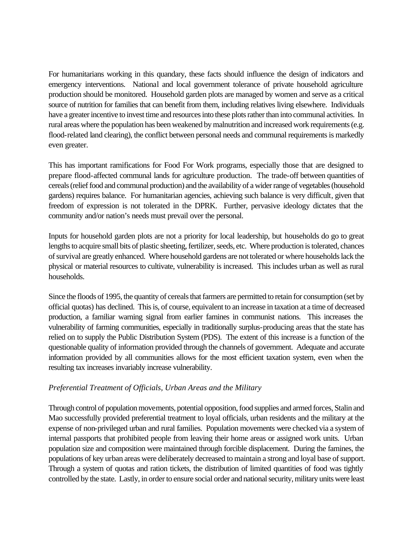For humanitarians working in this quandary, these facts should influence the design of indicators and emergency interventions. National and local government tolerance of private household agriculture production should be monitored. Household garden plots are managed by women and serve as a critical source of nutrition for families that can benefit from them, including relatives living elsewhere. Individuals have a greater incentive to invest time and resources into these plots rather than into communal activities. In rural areas where the population has been weakened by malnutrition and increased work requirements (e.g. flood-related land clearing), the conflict between personal needs and communal requirements is markedly even greater.

This has important ramifications for Food For Work programs, especially those that are designed to prepare flood-affected communal lands for agriculture production. The trade-off between quantities of cereals (relief food and communal production) and the availability of a wider range of vegetables (household gardens) requires balance. For humanitarian agencies, achieving such balance is very difficult, given that freedom of expression is not tolerated in the DPRK. Further, pervasive ideology dictates that the community and/or nation's needs must prevail over the personal.

Inputs for household garden plots are not a priority for local leadership, but households do go to great lengths to acquire small bits of plastic sheeting, fertilizer, seeds, etc. Where production is tolerated, chances of survival are greatly enhanced. Where household gardens are not tolerated or where households lack the physical or material resources to cultivate, vulnerability is increased. This includes urban as well as rural households.

Since the floods of 1995, the quantity of cereals that farmers are permitted to retain for consumption (set by official quotas) has declined. This is, of course, equivalent to an increase in taxation at a time of decreased production, a familiar warning signal from earlier famines in communist nations. This increases the vulnerability of farming communities, especially in traditionally surplus-producing areas that the state has relied on to supply the Public Distribution System (PDS). The extent of this increase is a function of the questionable quality of information provided through the channels of government. Adequate and accurate information provided by all communities allows for the most efficient taxation system, even when the resulting tax increases invariably increase vulnerability.

# *Preferential Treatment of Officials, Urban Areas and the Military*

Through control of population movements, potential opposition, food supplies and armed forces, Stalin and Mao successfully provided preferential treatment to loyal officials, urban residents and the military at the expense of non-privileged urban and rural families. Population movements were checked via a system of internal passports that prohibited people from leaving their home areas or assigned work units. Urban population size and composition were maintained through forcible displacement. During the famines, the populations of key urban areas were deliberately decreased to maintain a strong and loyal base of support. Through a system of quotas and ration tickets, the distribution of limited quantities of food was tightly controlled by the state. Lastly, in order to ensure social order and national security, military units were least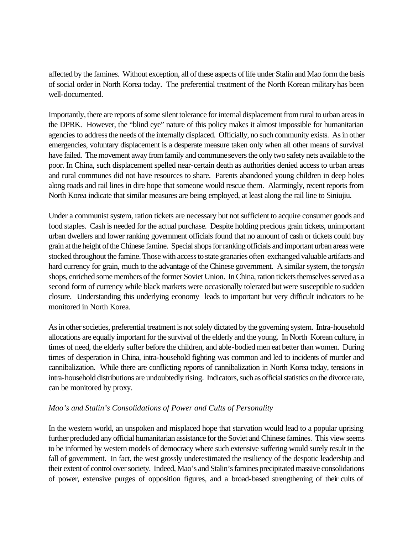affected by the famines. Without exception, all of these aspects of life under Stalin and Mao form the basis of social order in North Korea today. The preferential treatment of the North Korean military has been well-documented.

Importantly, there are reports of some silent tolerance for internal displacement from rural to urban areas in the DPRK. However, the "blind eye" nature of this policy makes it almost impossible for humanitarian agencies to address the needs of the internally displaced. Officially, no such community exists. As in other emergencies, voluntary displacement is a desperate measure taken only when all other means of survival have failed. The movement away from family and commune severs the only two safety nets available to the poor. In China, such displacement spelled near-certain death as authorities denied access to urban areas and rural communes did not have resources to share. Parents abandoned young children in deep holes along roads and rail lines in dire hope that someone would rescue them. Alarmingly, recent reports from North Korea indicate that similar measures are being employed, at least along the rail line to Siniujiu.

Under a communist system, ration tickets are necessary but not sufficient to acquire consumer goods and food staples. Cash is needed for the actual purchase. Despite holding precious grain tickets, unimportant urban dwellers and lower ranking government officials found that no amount of cash or tickets could buy grain at the height of the Chinese famine. Special shops for ranking officials and important urban areas were stocked throughout the famine. Those with access to state granaries often exchanged valuable artifacts and hard currency for grain, much to the advantage of the Chinese government. A similar system, the *torgsin* shops, enriched some members of the former Soviet Union. In China, ration tickets themselves served as a second form of currency while black markets were occasionally tolerated but were susceptible to sudden closure. Understanding this underlying economy leads to important but very difficult indicators to be monitored in North Korea.

As in other societies, preferential treatment is not solely dictated by the governing system. Intra-household allocations are equally important for the survival of the elderly and the young. In North Korean culture, in times of need, the elderly suffer before the children, and able-bodied men eat better than women. During times of desperation in China, intra-household fighting was common and led to incidents of murder and cannibalization. While there are conflicting reports of cannibalization in North Korea today, tensions in intra-household distributions are undoubtedly rising. Indicators, such as official statistics on the divorce rate, can be monitored by proxy.

# *Mao's and Stalin's Consolidations of Power and Cults of Personality*

In the western world, an unspoken and misplaced hope that starvation would lead to a popular uprising further precluded any official humanitarian assistance for the Soviet and Chinese famines. This view seems to be informed by western models of democracy where such extensive suffering would surely result in the fall of government. In fact, the west grossly underestimated the resiliency of the despotic leadership and their extent of control over society. Indeed, Mao's and Stalin's famines precipitated massive consolidations of power, extensive purges of opposition figures, and a broad-based strengthening of their cults of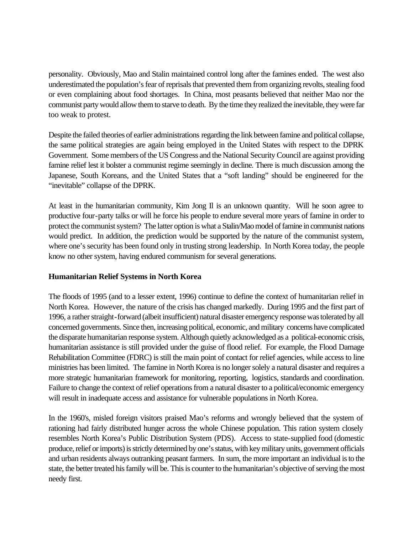personality. Obviously, Mao and Stalin maintained control long after the famines ended. The west also underestimated the population's fear of reprisals that prevented them from organizing revolts, stealing food or even complaining about food shortages. In China, most peasants believed that neither Mao nor the communist party would allow them to starve to death. By the time they realized the inevitable, they were far too weak to protest.

Despite the failed theories of earlier administrations regarding the link between famine and political collapse, the same political strategies are again being employed in the United States with respect to the DPRK Government. Some members of the US Congress and the National Security Council are against providing famine relief lest it bolster a communist regime seemingly in decline. There is much discussion among the Japanese, South Koreans, and the United States that a "soft landing" should be engineered for the "inevitable" collapse of the DPRK.

At least in the humanitarian community, Kim Jong Il is an unknown quantity. Will he soon agree to productive four-party talks or will he force his people to endure several more years of famine in order to protect the communist system? The latter option is what a Stalin/Mao model of famine in communist nations would predict. In addition, the prediction would be supported by the nature of the communist system, where one's security has been found only in trusting strong leadership. In North Korea today, the people know no other system, having endured communism for several generations.

# **Humanitarian Relief Systems in North Korea**

The floods of 1995 (and to a lesser extent, 1996) continue to define the context of humanitarian relief in North Korea. However, the nature of the crisis has changed markedly. During 1995 and the first part of 1996, a rather straight-forward (albeit insufficient) natural disaster emergency response was tolerated by all concerned governments. Since then, increasing political, economic, and military concerns have complicated the disparate humanitarian response system. Although quietly acknowledged as a political-economic crisis, humanitarian assistance is still provided under the guise of flood relief. For example, the Flood Damage Rehabilitation Committee (FDRC) is still the main point of contact for relief agencies, while access to line ministries has been limited. The famine in North Korea is no longer solely a natural disaster and requires a more strategic humanitarian framework for monitoring, reporting, logistics, standards and coordination. Failure to change the context of relief operations from a natural disaster to a political/economic emergency will result in inadequate access and assistance for vulnerable populations in North Korea.

In the 1960's, misled foreign visitors praised Mao's reforms and wrongly believed that the system of rationing had fairly distributed hunger across the whole Chinese population. This ration system closely resembles North Korea's Public Distribution System (PDS). Access to state-supplied food (domestic produce, relief or imports) is strictly determined by one's status, with key military units, government officials and urban residents always outranking peasant farmers. In sum, the more important an individual is to the state, the better treated his family will be. This is counter to the humanitarian's objective of serving the most needy first.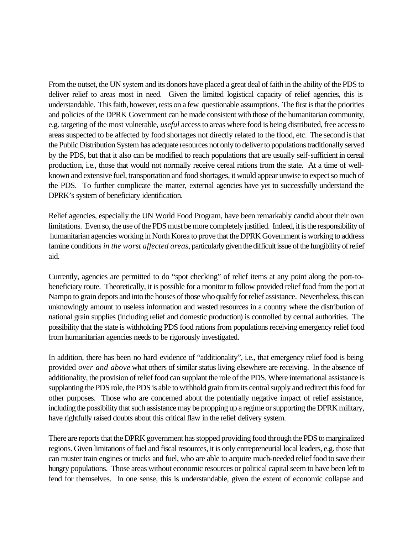From the outset, the UN system and its donors have placed a great deal of faith in the ability of the PDS to deliver relief to areas most in need. Given the limited logistical capacity of relief agencies, this is understandable. This faith, however, rests on a few questionable assumptions. The first is that the priorities and policies of the DPRK Government can be made consistent with those of the humanitarian community, e.g. targeting of the most vulnerable, *useful* access to areas where food is being distributed, free access to areas suspected to be affected by food shortages not directly related to the flood, etc. The second is that the Public Distribution System has adequate resources not only to deliver to populations traditionally served by the PDS, but that it also can be modified to reach populations that are usually self-sufficient in cereal production, i.e., those that would not normally receive cereal rations from the state. At a time of wellknown and extensive fuel, transportation and food shortages, it would appear unwise to expect so much of the PDS. To further complicate the matter, external agencies have yet to successfully understand the DPRK's system of beneficiary identification.

Relief agencies, especially the UN World Food Program, have been remarkably candid about their own limitations. Even so, the use of the PDS must be more completely justified. Indeed, it is the responsibility of humanitarian agencies working in North Korea to prove that the DPRK Government is working to address famine conditions *in the worst affected areas,* particularly given the difficult issue of the fungibility of relief aid.

Currently, agencies are permitted to do "spot checking" of relief items at any point along the port-tobeneficiary route. Theoretically, it is possible for a monitor to follow provided relief food from the port at Nampo to grain depots and into the houses of those who qualify for relief assistance. Nevertheless, this can unknowingly amount to useless information and wasted resources in a country where the distribution of national grain supplies (including relief and domestic production) is controlled by central authorities. The possibility that the state is withholding PDS food rations from populations receiving emergency relief food from humanitarian agencies needs to be rigorously investigated.

In addition, there has been no hard evidence of "additionality", i.e., that emergency relief food is being provided *over and above* what others of similar status living elsewhere are receiving. In the absence of additionality, the provision of relief food can supplant the role of the PDS. Where international assistance is supplanting the PDS role, the PDS is able to withhold grain from its central supply and redirect this food for other purposes. Those who are concerned about the potentially negative impact of relief assistance, including the possibility that such assistance may be propping up a regime or supporting the DPRK military, have rightfully raised doubts about this critical flaw in the relief delivery system.

There are reports that the DPRK government has stopped providing food through the PDS to marginalized regions. Given limitations of fuel and fiscal resources, it is only entrepreneurial local leaders, e.g. those that can muster train engines or trucks and fuel, who are able to acquire much-needed relief food to save their hungry populations. Those areas without economic resources or political capital seem to have been left to fend for themselves. In one sense, this is understandable, given the extent of economic collapse and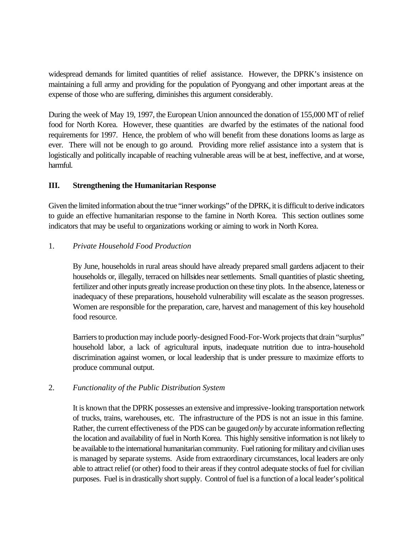widespread demands for limited quantities of relief assistance. However, the DPRK's insistence on maintaining a full army and providing for the population of Pyongyang and other important areas at the expense of those who are suffering, diminishes this argument considerably.

During the week of May 19, 1997, the European Union announced the donation of 155,000 MT of relief food for North Korea. However, these quantities are dwarfed by the estimates of the national food requirements for 1997. Hence, the problem of who will benefit from these donations looms as large as ever. There will not be enough to go around. Providing more relief assistance into a system that is logistically and politically incapable of reaching vulnerable areas will be at best, ineffective, and at worse, harmful.

# **III. Strengthening the Humanitarian Response**

Given the limited information about the true "inner workings" of the DPRK, it is difficult to derive indicators to guide an effective humanitarian response to the famine in North Korea. This section outlines some indicators that may be useful to organizations working or aiming to work in North Korea.

## 1. *Private Household Food Production*

By June, households in rural areas should have already prepared small gardens adjacent to their households or, illegally, terraced on hillsides near settlements. Small quantities of plastic sheeting, fertilizer and other inputs greatly increase production on these tiny plots. In the absence, lateness or inadequacy of these preparations, household vulnerability will escalate as the season progresses. Women are responsible for the preparation, care, harvest and management of this key household food resource.

Barriers to production may include poorly-designed Food-For-Work projects that drain "surplus" household labor, a lack of agricultural inputs, inadequate nutrition due to intra-household discrimination against women, or local leadership that is under pressure to maximize efforts to produce communal output.

# 2. *Functionality of the Public Distribution System*

It is known that the DPRK possesses an extensive and impressive-looking transportation network of trucks, trains, warehouses, etc. The infrastructure of the PDS is not an issue in this famine. Rather, the current effectiveness of the PDS can be gauged *only* by accurate information reflecting the location and availability of fuel in North Korea. This highly sensitive information is not likely to be available to the international humanitarian community. Fuel rationing for military and civilian uses is managed by separate systems. Aside from extraordinary circumstances, local leaders are only able to attract relief (or other) food to their areas if they control adequate stocks of fuel for civilian purposes. Fuel is in drastically short supply. Control of fuel is a function of a local leader's political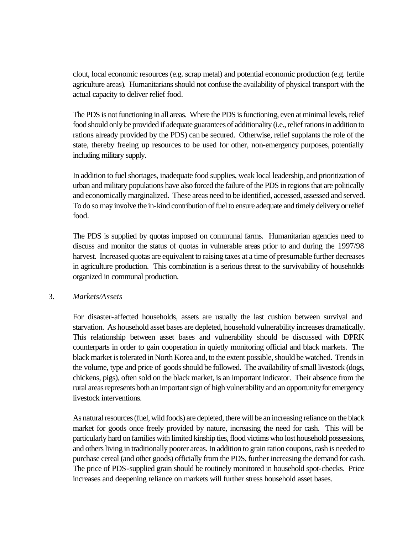clout, local economic resources (e.g. scrap metal) and potential economic production (e.g. fertile agriculture areas). Humanitarians should not confuse the availability of physical transport with the actual capacity to deliver relief food.

The PDS is not functioning in all areas. Where the PDS is functioning, even at minimal levels, relief food should only be provided if adequate guarantees of additionality (i.e., relief rations in addition to rations already provided by the PDS) can be secured. Otherwise, relief supplants the role of the state, thereby freeing up resources to be used for other, non-emergency purposes, potentially including military supply.

In addition to fuel shortages, inadequate food supplies, weak local leadership, and prioritization of urban and military populations have also forced the failure of the PDS in regions that are politically and economically marginalized. These areas need to be identified, accessed, assessed and served. To do so may involve the in-kind contribution of fuel to ensure adequate and timely delivery or relief food.

The PDS is supplied by quotas imposed on communal farms. Humanitarian agencies need to discuss and monitor the status of quotas in vulnerable areas prior to and during the 1997/98 harvest. Increased quotas are equivalent to raising taxes at a time of presumable further decreases in agriculture production. This combination is a serious threat to the survivability of households organized in communal production.

### 3. *Markets/Assets*

For disaster-affected households, assets are usually the last cushion between survival and starvation. As household asset bases are depleted, household vulnerability increases dramatically. This relationship between asset bases and vulnerability should be discussed with DPRK counterparts in order to gain cooperation in quietly monitoring official and black markets. The black market is tolerated in North Korea and, to the extent possible, should be watched. Trends in the volume, type and price of goods should be followed. The availability of small livestock (dogs, chickens, pigs), often sold on the black market, is an important indicator. Their absence from the rural areas represents both an important sign of high vulnerability and an opportunity for emergency livestock interventions.

As natural resources (fuel, wild foods) are depleted, there will be an increasing reliance on the black market for goods once freely provided by nature, increasing the need for cash. This will be particularly hard on families with limited kinship ties, flood victims who lost household possessions, and others living in traditionally poorer areas. In addition to grain ration coupons, cash is needed to purchase cereal (and other goods) officially from the PDS, further increasing the demand for cash. The price of PDS-supplied grain should be routinely monitored in household spot-checks. Price increases and deepening reliance on markets will further stress household asset bases.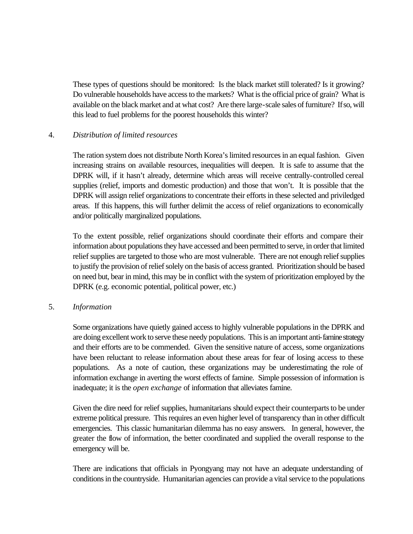These types of questions should be monitored: Is the black market still tolerated? Is it growing? Do vulnerable households have access to the markets? What is the official price of grain? What is available on the black market and at what cost? Are there large-scale sales of furniture? If so, will this lead to fuel problems for the poorest households this winter?

## 4. *Distribution of limited resources*

The ration system does not distribute North Korea's limited resources in an equal fashion. Given increasing strains on available resources, inequalities will deepen. It is safe to assume that the DPRK will, if it hasn't already, determine which areas will receive centrally-controlled cereal supplies (relief, imports and domestic production) and those that won't. It is possible that the DPRK will assign relief organizations to concentrate their efforts in these selected and priviledged areas. If this happens, this will further delimit the access of relief organizations to economically and/or politically marginalized populations.

To the extent possible, relief organizations should coordinate their efforts and compare their information about populations they have accessed and been permitted to serve, in order that limited relief supplies are targeted to those who are most vulnerable. There are not enough relief supplies to justify the provision of relief solely on the basis of access granted. Prioritization should be based on need but, bear in mind, this may be in conflict with the system of prioritization employed by the DPRK (e.g. economic potential, political power, etc.)

### 5. *Information*

Some organizations have quietly gained access to highly vulnerable populations in the DPRK and are doing excellent work to serve these needy populations. This is an important anti-famine strategy and their efforts are to be commended. Given the sensitive nature of access, some organizations have been reluctant to release information about these areas for fear of losing access to these populations. As a note of caution, these organizations may be underestimating the role of information exchange in averting the worst effects of famine. Simple possession of information is inadequate; it is the *open exchange* of information that alleviates famine.

Given the dire need for relief supplies, humanitarians should expect their counterparts to be under extreme political pressure. This requires an even higher level of transparency than in other difficult emergencies. This classic humanitarian dilemma has no easy answers. In general, however, the greater the flow of information, the better coordinated and supplied the overall response to the emergency will be.

There are indications that officials in Pyongyang may not have an adequate understanding of conditions in the countryside. Humanitarian agencies can provide a vital service to the populations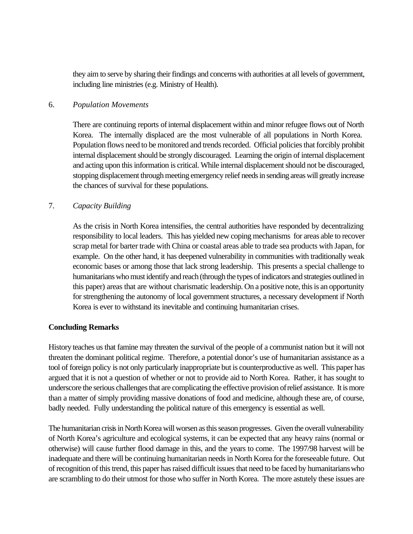they aim to serve by sharing their findings and concerns with authorities at all levels of government, including line ministries (e.g. Ministry of Health).

#### 6. *Population Movements*

There are continuing reports of internal displacement within and minor refugee flows out of North Korea. The internally displaced are the most vulnerable of all populations in North Korea. Population flows need to be monitored and trends recorded. Official policies that forcibly prohibit internal displacement should be strongly discouraged. Learning the origin of internal displacement and acting upon this information is critical. While internal displacement should not be discouraged, stopping displacement through meeting emergency relief needs in sending areas will greatly increase the chances of survival for these populations.

## 7. *Capacity Building*

As the crisis in North Korea intensifies, the central authorities have responded by decentralizing responsibility to local leaders. This has yielded new coping mechanisms for areas able to recover scrap metal for barter trade with China or coastal areas able to trade sea products with Japan, for example. On the other hand, it has deepened vulnerability in communities with traditionally weak economic bases or among those that lack strong leadership. This presents a special challenge to humanitarians who must identify and reach (through the types of indicators and strategies outlined in this paper) areas that are without charismatic leadership. On a positive note, this is an opportunity for strengthening the autonomy of local government structures, a necessary development if North Korea is ever to withstand its inevitable and continuing humanitarian crises.

### **Concluding Remarks**

History teaches us that famine may threaten the survival of the people of a communist nation but it will not threaten the dominant political regime. Therefore, a potential donor's use of humanitarian assistance as a tool of foreign policy is not only particularly inappropriate but is counterproductive as well. This paper has argued that it is not a question of whether or not to provide aid to North Korea. Rather, it has sought to underscore the serious challenges that are complicating the effective provision of relief assistance. It is more than a matter of simply providing massive donations of food and medicine, although these are, of course, badly needed. Fully understanding the political nature of this emergency is essential as well.

The humanitarian crisis in North Korea will worsen as this season progresses. Given the overall vulnerability of North Korea's agriculture and ecological systems, it can be expected that any heavy rains (normal or otherwise) will cause further flood damage in this, and the years to come. The 1997/98 harvest will be inadequate and there will be continuing humanitarian needs in North Korea for the foreseeable future. Out of recognition of this trend, this paper has raised difficult issues that need to be faced by humanitarians who are scrambling to do their utmost for those who suffer in North Korea. The more astutely these issues are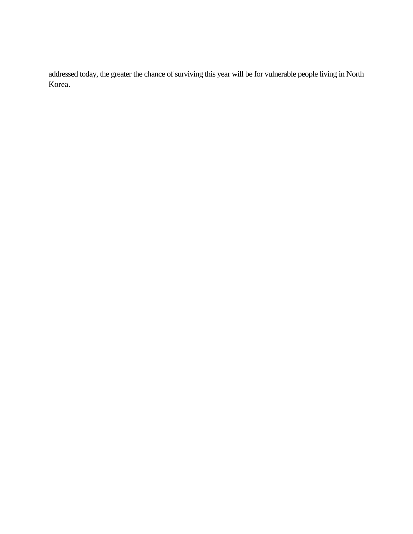addressed today, the greater the chance of surviving this year will be for vulnerable people living in North Korea.